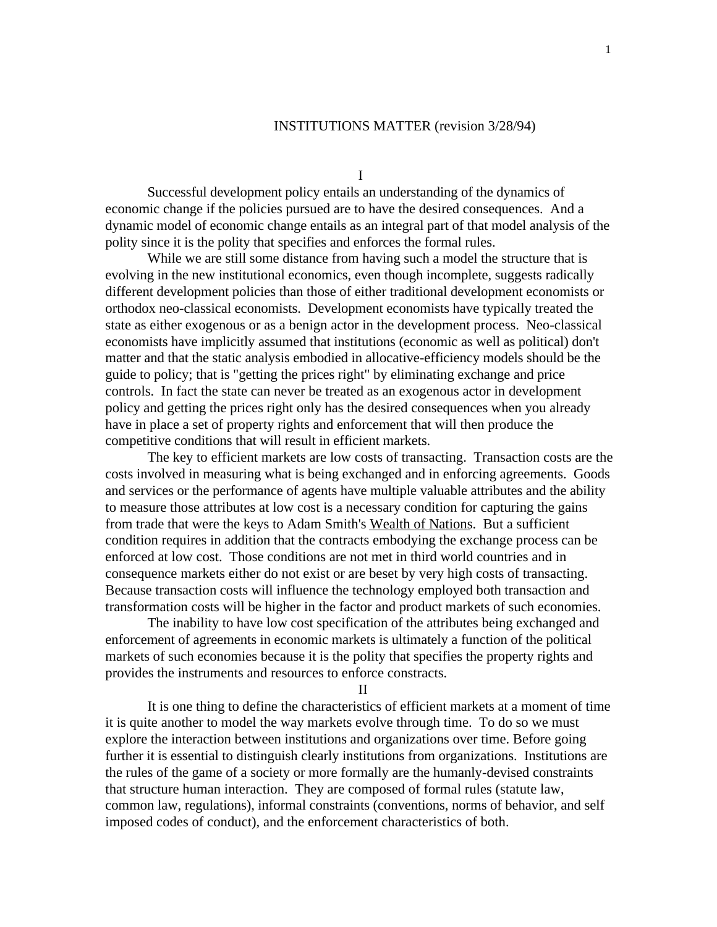## INSTITUTIONS MATTER (revision 3/28/94)

I

Successful development policy entails an understanding of the dynamics of economic change if the policies pursued are to have the desired consequences. And a dynamic model of economic change entails as an integral part of that model analysis of the polity since it is the polity that specifies and enforces the formal rules.

While we are still some distance from having such a model the structure that is evolving in the new institutional economics, even though incomplete, suggests radically different development policies than those of either traditional development economists or orthodox neo-classical economists. Development economists have typically treated the state as either exogenous or as a benign actor in the development process. Neo-classical economists have implicitly assumed that institutions (economic as well as political) don't matter and that the static analysis embodied in allocative-efficiency models should be the guide to policy; that is "getting the prices right" by eliminating exchange and price controls. In fact the state can never be treated as an exogenous actor in development policy and getting the prices right only has the desired consequences when you already have in place a set of property rights and enforcement that will then produce the competitive conditions that will result in efficient markets.

The key to efficient markets are low costs of transacting. Transaction costs are the costs involved in measuring what is being exchanged and in enforcing agreements. Goods and services or the performance of agents have multiple valuable attributes and the ability to measure those attributes at low cost is a necessary condition for capturing the gains from trade that were the keys to Adam Smith's Wealth of Nations. But a sufficient condition requires in addition that the contracts embodying the exchange process can be enforced at low cost. Those conditions are not met in third world countries and in consequence markets either do not exist or are beset by very high costs of transacting. Because transaction costs will influence the technology employed both transaction and transformation costs will be higher in the factor and product markets of such economies.

The inability to have low cost specification of the attributes being exchanged and enforcement of agreements in economic markets is ultimately a function of the political markets of such economies because it is the polity that specifies the property rights and provides the instruments and resources to enforce constracts.

II

It is one thing to define the characteristics of efficient markets at a moment of time it is quite another to model the way markets evolve through time. To do so we must explore the interaction between institutions and organizations over time. Before going further it is essential to distinguish clearly institutions from organizations. Institutions are the rules of the game of a society or more formally are the humanly-devised constraints that structure human interaction. They are composed of formal rules (statute law, common law, regulations), informal constraints (conventions, norms of behavior, and self imposed codes of conduct), and the enforcement characteristics of both.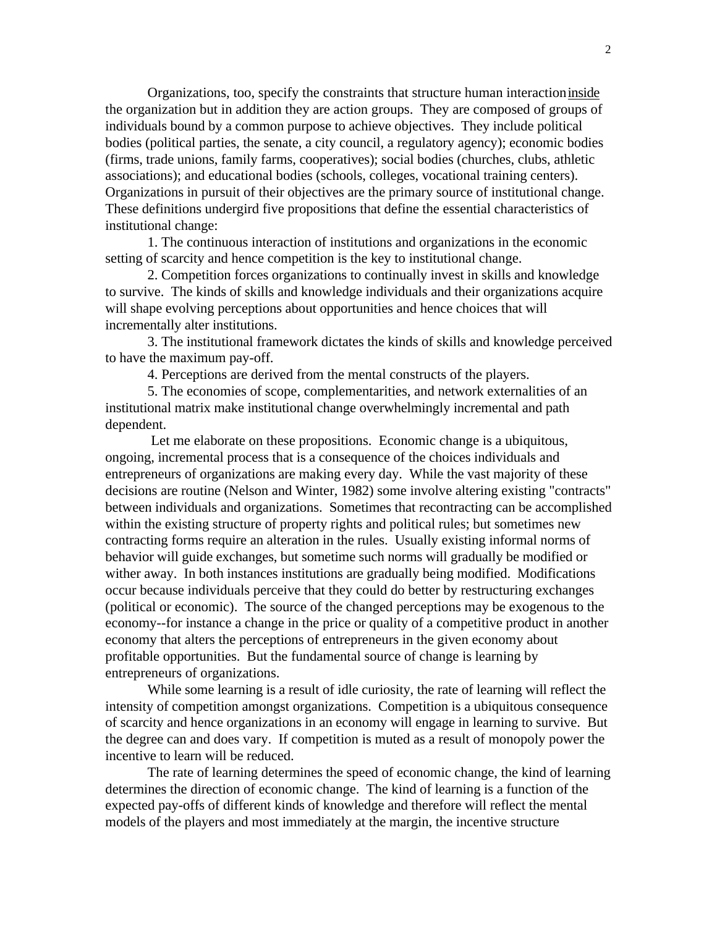Organizations, too, specify the constraints that structure human interaction inside the organization but in addition they are action groups. They are composed of groups of individuals bound by a common purpose to achieve objectives. They include political bodies (political parties, the senate, a city council, a regulatory agency); economic bodies (firms, trade unions, family farms, cooperatives); social bodies (churches, clubs, athletic associations); and educational bodies (schools, colleges, vocational training centers). Organizations in pursuit of their objectives are the primary source of institutional change. These definitions undergird five propositions that define the essential characteristics of institutional change:

1. The continuous interaction of institutions and organizations in the economic setting of scarcity and hence competition is the key to institutional change.

2. Competition forces organizations to continually invest in skills and knowledge to survive. The kinds of skills and knowledge individuals and their organizations acquire will shape evolving perceptions about opportunities and hence choices that will incrementally alter institutions.

3. The institutional framework dictates the kinds of skills and knowledge perceived to have the maximum pay-off.

4. Perceptions are derived from the mental constructs of the players.

5. The economies of scope, complementarities, and network externalities of an institutional matrix make institutional change overwhelmingly incremental and path dependent.

 Let me elaborate on these propositions. Economic change is a ubiquitous, ongoing, incremental process that is a consequence of the choices individuals and entrepreneurs of organizations are making every day. While the vast majority of these decisions are routine (Nelson and Winter, 1982) some involve altering existing "contracts" between individuals and organizations. Sometimes that recontracting can be accomplished within the existing structure of property rights and political rules; but sometimes new contracting forms require an alteration in the rules. Usually existing informal norms of behavior will guide exchanges, but sometime such norms will gradually be modified or wither away. In both instances institutions are gradually being modified. Modifications occur because individuals perceive that they could do better by restructuring exchanges (political or economic). The source of the changed perceptions may be exogenous to the economy--for instance a change in the price or quality of a competitive product in another economy that alters the perceptions of entrepreneurs in the given economy about profitable opportunities. But the fundamental source of change is learning by entrepreneurs of organizations.

While some learning is a result of idle curiosity, the rate of learning will reflect the intensity of competition amongst organizations. Competition is a ubiquitous consequence of scarcity and hence organizations in an economy will engage in learning to survive. But the degree can and does vary. If competition is muted as a result of monopoly power the incentive to learn will be reduced.

The rate of learning determines the speed of economic change, the kind of learning determines the direction of economic change. The kind of learning is a function of the expected pay-offs of different kinds of knowledge and therefore will reflect the mental models of the players and most immediately at the margin, the incentive structure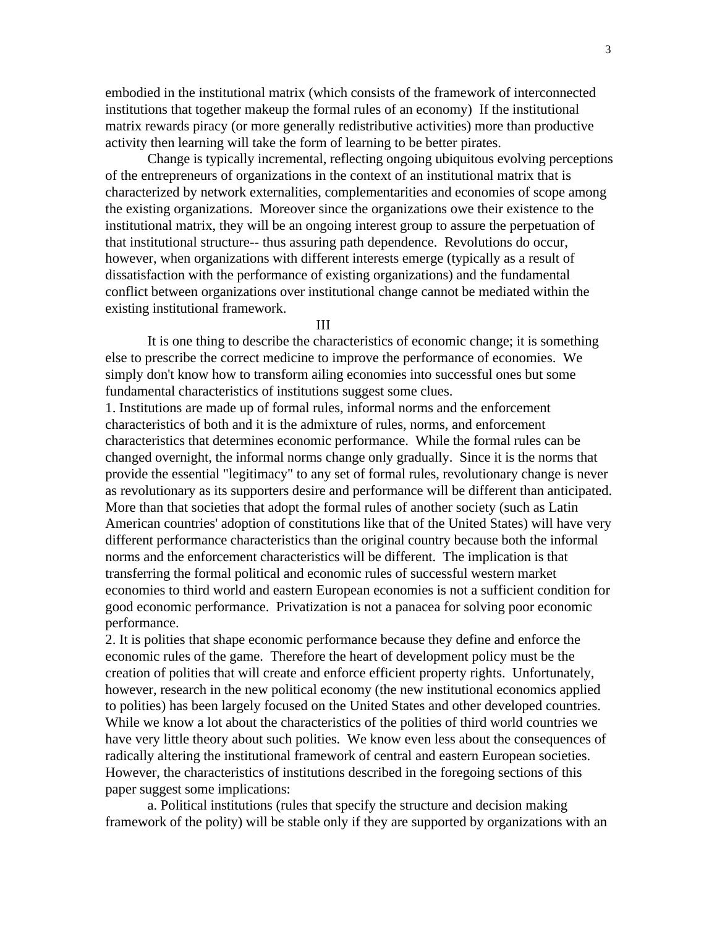embodied in the institutional matrix (which consists of the framework of interconnected institutions that together makeup the formal rules of an economy) If the institutional matrix rewards piracy (or more generally redistributive activities) more than productive activity then learning will take the form of learning to be better pirates.

Change is typically incremental, reflecting ongoing ubiquitous evolving perceptions of the entrepreneurs of organizations in the context of an institutional matrix that is characterized by network externalities, complementarities and economies of scope among the existing organizations. Moreover since the organizations owe their existence to the institutional matrix, they will be an ongoing interest group to assure the perpetuation of that institutional structure-- thus assuring path dependence. Revolutions do occur, however, when organizations with different interests emerge (typically as a result of dissatisfaction with the performance of existing organizations) and the fundamental conflict between organizations over institutional change cannot be mediated within the existing institutional framework.

III

It is one thing to describe the characteristics of economic change; it is something else to prescribe the correct medicine to improve the performance of economies. We simply don't know how to transform ailing economies into successful ones but some fundamental characteristics of institutions suggest some clues.

1. Institutions are made up of formal rules, informal norms and the enforcement characteristics of both and it is the admixture of rules, norms, and enforcement characteristics that determines economic performance. While the formal rules can be changed overnight, the informal norms change only gradually. Since it is the norms that provide the essential "legitimacy" to any set of formal rules, revolutionary change is never as revolutionary as its supporters desire and performance will be different than anticipated. More than that societies that adopt the formal rules of another society (such as Latin American countries' adoption of constitutions like that of the United States) will have very different performance characteristics than the original country because both the informal norms and the enforcement characteristics will be different. The implication is that transferring the formal political and economic rules of successful western market economies to third world and eastern European economies is not a sufficient condition for good economic performance. Privatization is not a panacea for solving poor economic performance.

2. It is polities that shape economic performance because they define and enforce the economic rules of the game. Therefore the heart of development policy must be the creation of polities that will create and enforce efficient property rights. Unfortunately, however, research in the new political economy (the new institutional economics applied to polities) has been largely focused on the United States and other developed countries. While we know a lot about the characteristics of the polities of third world countries we have very little theory about such polities. We know even less about the consequences of radically altering the institutional framework of central and eastern European societies. However, the characteristics of institutions described in the foregoing sections of this paper suggest some implications:

a. Political institutions (rules that specify the structure and decision making framework of the polity) will be stable only if they are supported by organizations with an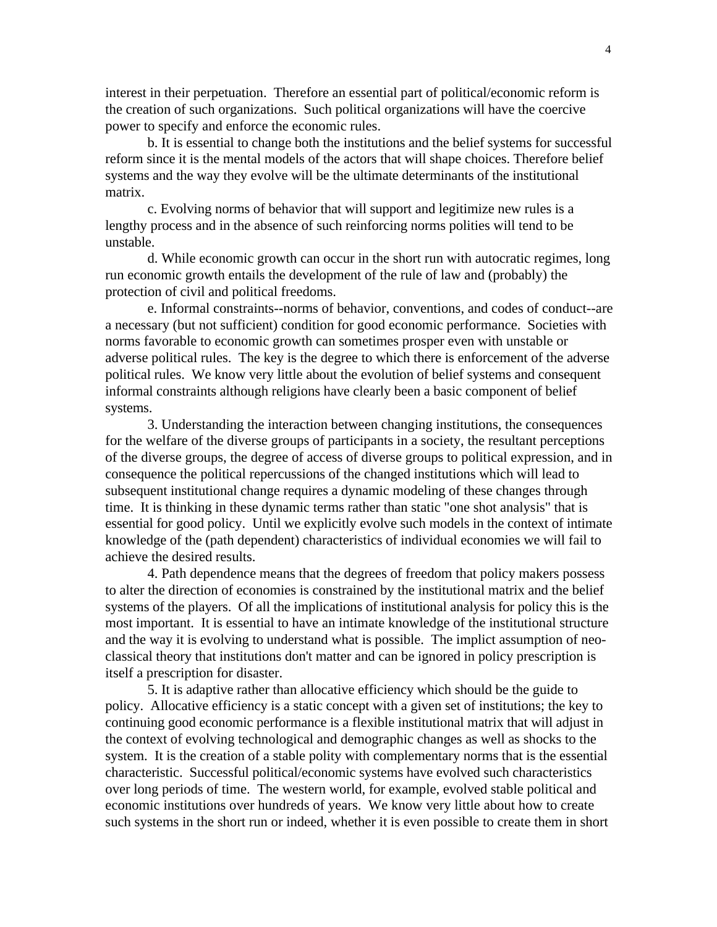interest in their perpetuation. Therefore an essential part of political/economic reform is the creation of such organizations. Such political organizations will have the coercive power to specify and enforce the economic rules.

b. It is essential to change both the institutions and the belief systems for successful reform since it is the mental models of the actors that will shape choices. Therefore belief systems and the way they evolve will be the ultimate determinants of the institutional matrix.

c. Evolving norms of behavior that will support and legitimize new rules is a lengthy process and in the absence of such reinforcing norms polities will tend to be unstable.

d. While economic growth can occur in the short run with autocratic regimes, long run economic growth entails the development of the rule of law and (probably) the protection of civil and political freedoms.

e. Informal constraints--norms of behavior, conventions, and codes of conduct--are a necessary (but not sufficient) condition for good economic performance. Societies with norms favorable to economic growth can sometimes prosper even with unstable or adverse political rules. The key is the degree to which there is enforcement of the adverse political rules. We know very little about the evolution of belief systems and consequent informal constraints although religions have clearly been a basic component of belief systems.

3. Understanding the interaction between changing institutions, the consequences for the welfare of the diverse groups of participants in a society, the resultant perceptions of the diverse groups, the degree of access of diverse groups to political expression, and in consequence the political repercussions of the changed institutions which will lead to subsequent institutional change requires a dynamic modeling of these changes through time. It is thinking in these dynamic terms rather than static "one shot analysis" that is essential for good policy. Until we explicitly evolve such models in the context of intimate knowledge of the (path dependent) characteristics of individual economies we will fail to achieve the desired results.

4. Path dependence means that the degrees of freedom that policy makers possess to alter the direction of economies is constrained by the institutional matrix and the belief systems of the players. Of all the implications of institutional analysis for policy this is the most important. It is essential to have an intimate knowledge of the institutional structure and the way it is evolving to understand what is possible. The implict assumption of neoclassical theory that institutions don't matter and can be ignored in policy prescription is itself a prescription for disaster.

5. It is adaptive rather than allocative efficiency which should be the guide to policy. Allocative efficiency is a static concept with a given set of institutions; the key to continuing good economic performance is a flexible institutional matrix that will adjust in the context of evolving technological and demographic changes as well as shocks to the system. It is the creation of a stable polity with complementary norms that is the essential characteristic. Successful political/economic systems have evolved such characteristics over long periods of time. The western world, for example, evolved stable political and economic institutions over hundreds of years. We know very little about how to create such systems in the short run or indeed, whether it is even possible to create them in short